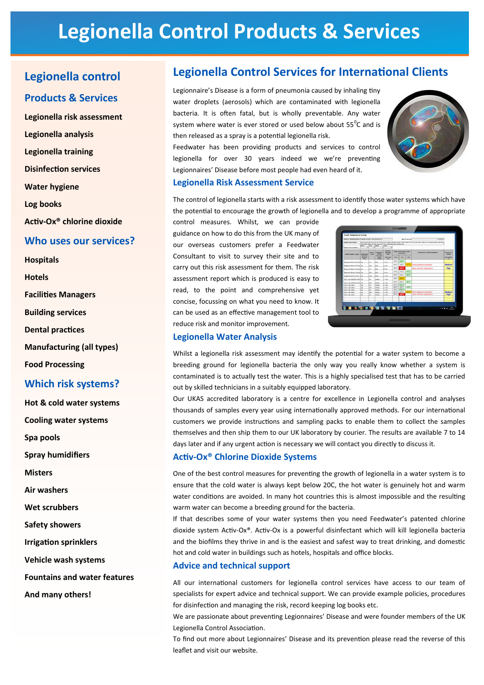# **Legionella Control Products & Services**

# Legionella control

#### **Products & Services**

Legionella risk assessment Legionella analysis Legionella training **Disinfection services Water hygiene** Log books Activ-Ox® chlorine dioxide

#### Who uses our services?

**Hospitals** 

**Hotels** 

**Facilities Managers** 

**Building services** 

**Dental practices** 

**Manufacturing (all types)** 

**Food Processing** 

#### **Which risk systems?**

Hot & cold water systems **Cooling water systems** 

Spa pools

**Spray humidifiers** 

**Misters** 

**Air washers** 

**Wet scrubbers** 

**Safety showers** 

**Irrigation sprinklers** 

**Vehicle wash systems** 

**Fountains and water features** 

And many others!

# **Legionella Control Services for International Clients**

Legionnaire's Disease is a form of pneumonia caused by inhaling tiny water droplets (aerosols) which are contaminated with legionella bacteria. It is often fatal, but is wholly preventable. Any water system where water is ever stored or used below about 55<sup>°</sup>C and is then released as a spray is a potential legionella risk.

Feedwater has been providing products and services to control legionella for over 30 years indeed we we're preventing Legionnaires' Disease before most people had even heard of it.

#### **Legionella Risk Assessment Service**



The control of legionella starts with a risk assessment to identify those water systems which have the potential to encourage the growth of legionella and to develop a programme of appropriate

control measures. Whilst, we can provide guidance on how to do this from the UK many of our overseas customers prefer a Feedwater Consultant to visit to survey their site and to carry out this risk assessment for them. The risk assessment report which is produced is easy to read, to the point and comprehensive yet concise, focussing on what you need to know. It can be used as an effective management tool to reduce risk and monitor improvement.

| <b>Tusters description</b>             | <b>MACYY</b>                                                                | tions been join lead one for "City and a 2 steps countier directs. "CITY been IC's and cost water milets in developing foreign lines of the<br>old water autors are draut trains fed that water feeds book and atoward.<br>THIS<br>1650 |                                                                        |                                                                                      |                                                    |                |             |                                     |                                       |
|----------------------------------------|-----------------------------------------------------------------------------|-----------------------------------------------------------------------------------------------------------------------------------------------------------------------------------------------------------------------------------------|------------------------------------------------------------------------|--------------------------------------------------------------------------------------|----------------------------------------------------|----------------|-------------|-------------------------------------|---------------------------------------|
| Approx. No. of petters                 |                                                                             |                                                                                                                                                                                                                                         |                                                                        |                                                                                      |                                                    |                |             |                                     |                                       |
| Darfort Socialisms I manhat            | <b>Cluthed Auto</b><br><b>Tax Shows</b><br><b>Toron Ties</b><br><b>This</b> | <b>But or</b><br>Crist                                                                                                                                                                                                                  | Francesco<br>of them<br><b>House Clair</b><br><b>Vieta</b><br>Aduption | <b>SHOPPINE</b><br>Running<br><b>Time</b><br><b>Union, Alberta</b><br><b>COMPANY</b> | Vieter homperature after<br><b>Currences for 1</b> |                |             | Commercia / Actions Required        | <b>Prisonity for</b><br>Artist        |
|                                        |                                                                             |                                                                                                                                                                                                                                         |                                                                        |                                                                                      | <b>Wind</b>                                        | <b>Hotel</b>   | 244         |                                     | <b>High Adulture</b><br>3M            |
| <b>Testeured Kikman führ Sam Tag</b>   |                                                                             | w                                                                                                                                                                                                                                       | <b>Int</b>                                                             | 12.08                                                                                | 35°C                                               | 54°C           |             |                                     |                                       |
| <b>Restaurant Kitchen N.W. Sew Tap</b> |                                                                             | <b>SHE</b>                                                                                                                                                                                                                              | <b>Deb</b>                                                             | <b>AZ</b> Harry                                                                      | 25°C                                               | $22^{\circ}$ C |             | 21°C Fevera process insulation      | Medium                                |
| Restaurant Kitchen LR smit The         |                                                                             | w                                                                                                                                                                                                                                       | beh-                                                                   | o.                                                                                   | apric.                                             | 4610           |             | <b>Gaise calcrites temperature</b>  | High                                  |
|                                        |                                                                             |                                                                                                                                                                                                                                         |                                                                        |                                                                                      | 18°C                                               | 15°C           | 14°C        |                                     |                                       |
| Restaurant Kitchen Lift age (Tap       |                                                                             | $\sim$                                                                                                                                                                                                                                  | Deb                                                                    | <b>Almost</b>                                                                        | 22°C                                               | 20°C           | 1610        |                                     |                                       |
| Anatomical OC LR Sea [Tap.             |                                                                             | <b>Curst</b>                                                                                                                                                                                                                            | <b>Celt</b>                                                            | 1216                                                                                 |                                                    |                |             |                                     |                                       |
| Tech 1140 (R&Villero Sea Thio)         |                                                                             | w                                                                                                                                                                                                                                       | Interior                                                               | $-2.99$                                                                              | 30°C                                               | 48°C           |             |                                     |                                       |
| Tech 11At (RAD Pen Sen Tho)            |                                                                             | <b>Card</b>                                                                                                                                                                                                                             | <b>Heels</b>                                                           | 12m                                                                                  | 26°C                                               | 20°C           | <b>18°C</b> |                                     |                                       |
| Tell 1146 Apr 2                        | hie                                                                         | ni a                                                                                                                                                                                                                                    | meets                                                                  | $1 - 2 = 0$                                                                          | ATC.                                               | <b>SAYC</b>    |             |                                     |                                       |
| Test 11at Ave 2                        | he.                                                                         | $-$                                                                                                                                                                                                                                     | <b>Interior</b>                                                        | $1.2 - 0.0$                                                                          | 28°C                                               |                | 22°C 15°C   |                                     |                                       |
| Tem 11at Ase 3                         | 1×                                                                          | ×                                                                                                                                                                                                                                       | mente                                                                  | 1.2 me                                                                               | 54%                                                | 58°C           |             |                                     |                                       |
| Test 1146 Ave 3                        | bк                                                                          | i.                                                                                                                                                                                                                                      | Initi                                                                  | 12m                                                                                  | 25°C                                               | <b>25°C</b>    | 23°C        | invice biomich magazine             | <b>Medium</b>                         |
| Taux, I Lak Awa 3.                     | he.                                                                         | m                                                                                                                                                                                                                                       | <b>Stanley</b>                                                         | 12m                                                                                  | 25°C                                               | <b>ANYC</b>    |             | <b>Stanut Catricher homewrature</b> | High                                  |
|                                        |                                                                             |                                                                                                                                                                                                                                         |                                                                        |                                                                                      |                                                    |                |             |                                     |                                       |
|                                        |                                                                             |                                                                                                                                                                                                                                         |                                                                        |                                                                                      |                                                    |                |             |                                     |                                       |
| <b>GEODY CRUSHE</b>                    |                                                                             |                                                                                                                                                                                                                                         |                                                                        |                                                                                      |                                                    |                |             |                                     | <b>DOM</b><br>$-22$<br><b>HALLMAN</b> |

#### **Legionella Water Analysis**

Whilst a legionella risk assessment may identify the potential for a water system to become a breeding ground for legionella bacteria the only way you really know whether a system is contaminated is to actually test the water. This is a highly specialised test that has to be carried out by skilled technicians in a suitably equipped laboratory.

Our UKAS accredited laboratory is a centre for excellence in Legionella control and analyses thousands of samples every year using internationally approved methods. For our international customers we provide instructions and sampling packs to enable them to collect the samples themselves and then ship them to our UK laboratory by courier. The results are available 7 to 14 days later and if any urgent action is necessary we will contact you directly to discuss it.

#### **Activ-Ox® Chlorine Dioxide Systems**

One of the best control measures for preventing the growth of legionella in a water system is to ensure that the cold water is always kept below 20C, the hot water is genuinely hot and warm water conditions are avoided. In many hot countries this is almost impossible and the resulting warm water can become a breeding ground for the bacteria.

If that describes some of your water systems then you need Feedwater's patented chlorine dioxide system Activ-Ox®. Activ-Ox is a powerful disinfectant which will kill legionella bacteria and the biofilms they thrive in and is the easiest and safest way to treat drinking, and domestic hot and cold water in buildings such as hotels, hospitals and office blocks.

#### **Advice and technical support**

All our international customers for legionella control services have access to our team of specialists for expert advice and technical support. We can provide example policies, procedures for disinfection and managing the risk, record keeping log books etc.

We are passionate about preventing Legionnaires' Disease and were founder members of the UK Legionella Control Association.

To find out more about Legionnaires' Disease and its prevention please read the reverse of this leaflet and visit our website.